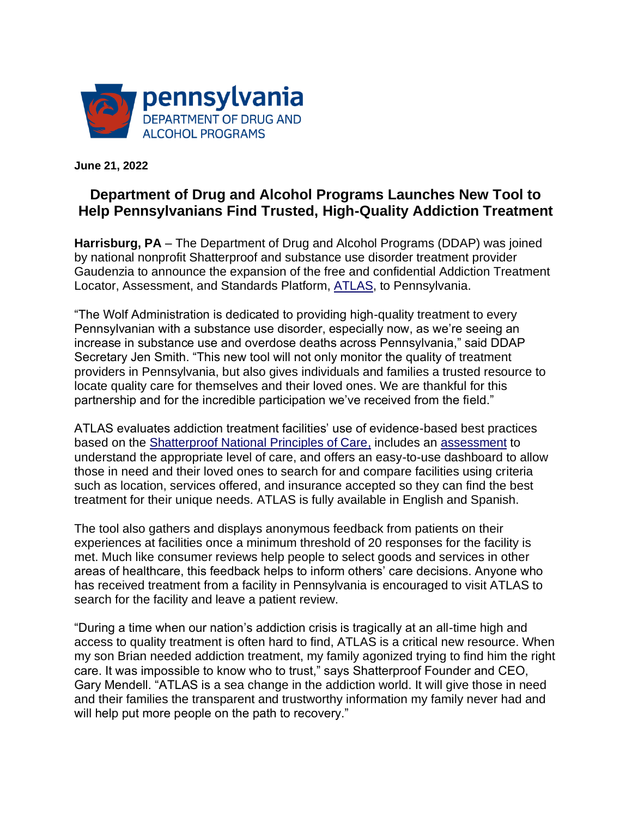

**June 21, 2022**

## **Department of Drug and Alcohol Programs Launches New Tool to Help Pennsylvanians Find Trusted, High-Quality Addiction Treatment**

**Harrisburg, PA** – The Department of Drug and Alcohol Programs (DDAP) was joined by national nonprofit Shatterproof and substance use disorder treatment provider Gaudenzia to announce the expansion of the free and confidential Addiction Treatment Locator, Assessment, and Standards Platform, [ATLAS,](https://www.treatmentatlas.org/) to Pennsylvania.

"The Wolf Administration is dedicated to providing high-quality treatment to every Pennsylvanian with a substance use disorder, especially now, as we're seeing an increase in substance use and overdose deaths across Pennsylvania," said DDAP Secretary Jen Smith. "This new tool will not only monitor the quality of treatment providers in Pennsylvania, but also gives individuals and families a trusted resource to locate quality care for themselves and their loved ones. We are thankful for this partnership and for the incredible participation we've received from the field."

ATLAS evaluates addiction treatment facilities' use of evidence-based best practices based on the [Shatterproof National Principles of Care,](https://www.shatterproof.org/shatterproof-national-principles-care) includes an [assessment](https://treatmentatlas.org/determine-treatment-needs) to understand the appropriate level of care, and offers an easy-to-use dashboard to allow those in need and their loved ones to search for and compare facilities using criteria such as location, services offered, and insurance accepted so they can find the best treatment for their unique needs. ATLAS is fully available in English and Spanish.

The tool also gathers and displays anonymous feedback from patients on their experiences at facilities once a minimum threshold of 20 responses for the facility is met. Much like consumer reviews help people to select goods and services in other areas of healthcare, this feedback helps to inform others' care decisions. Anyone who has received treatment from a facility in Pennsylvania is encouraged to visit ATLAS to search for the facility and leave a patient review.

"During a time when our nation's addiction crisis is tragically at an all-time high and access to quality treatment is often hard to find, ATLAS is a critical new resource. When my son Brian needed addiction treatment, my family agonized trying to find him the right care. It was impossible to know who to trust," says Shatterproof Founder and CEO, Gary Mendell. "ATLAS is a sea change in the addiction world. It will give those in need and their families the transparent and trustworthy information my family never had and will help put more people on the path to recovery."